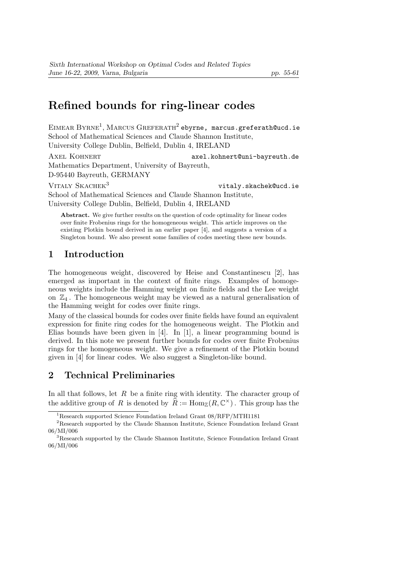# Refined bounds for ring-linear codes

EIMEAR BYRNE<sup>1</sup>, MARCUS GREFERATH<sup>2</sup> ebyrne, marcus.greferath@ucd.ie School of Mathematical Sciences and Claude Shannon Institute, University College Dublin, Belfield, Dublin 4, IRELAND

AXEL KOHNERT axel.kohnert@uni-bayreuth.de Mathematics Department, University of Bayreuth, D-95440 Bayreuth, GERMANY VITALY SKACHEK<sup>3</sup> vitaly.skachek@ucd.ie School of Mathematical Sciences and Claude Shannon Institute,

University College Dublin, Belfield, Dublin 4, IRELAND

Abstract. We give further results on the question of code optimality for linear codes over finite Frobenius rings for the homogeneous weight. This article improves on the existing Plotkin bound derived in an earlier paper [4], and suggests a version of a Singleton bound. We also present some families of codes meeting these new bounds.

### 1 Introduction

The homogeneous weight, discovered by Heise and Constantinescu [2], has emerged as important in the context of finite rings. Examples of homogeneous weights include the Hamming weight on finite fields and the Lee weight on  $\mathbb{Z}_4$ . The homogeneous weight may be viewed as a natural generalisation of the Hamming weight for codes over finite rings.

Many of the classical bounds for codes over finite fields have found an equivalent expression for finite ring codes for the homogeneous weight. The Plotkin and Elias bounds have been given in [4]. In [1], a linear programming bound is derived. In this note we present further bounds for codes over finite Frobenius rings for the homogeneous weight. We give a refinement of the Plotkin bound given in [4] for linear codes. We also suggest a Singleton-like bound.

## 2 Technical Preliminaries

In all that follows, let  $R$  be a finite ring with identity. The character group of the additive group of R is denoted by  $\widehat{R} := \text{Hom}_{\mathbb{Z}}(R, \mathbb{C}^{\times})$ . This group has the

<sup>1</sup>Research supported Science Foundation Ireland Grant 08/RFP/MTH1181

 $^{2}\mathrm{Research}$  supported by the Claude Shannon Institute, Science Foundation Ireland Grant 06/MI/006

<sup>3</sup>Research supported by the Claude Shannon Institute, Science Foundation Ireland Grant 06/MI/006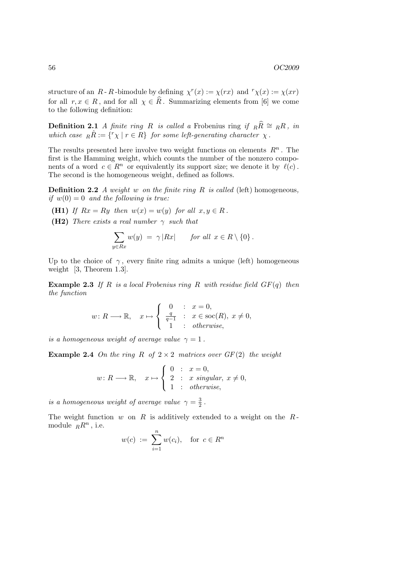structure of an  $R - R$ -bimodule by defining  $\chi^r(x) := \chi(rx)$  and  $r\chi(x) := \chi(xr)$ for all  $r, x \in R$ , and for all  $\chi \in \hat{R}$ . Summarizing elements from [6] we come to the following definition:

**Definition 2.1** A finite ring R is called a Frobenius ring if  $_R\hat{R} \cong {}_RR$ , in which case  $_R \hat{R} := \{ {}^{r} \chi \mid r \in R \}$  for some left-generating character  $\chi$ .

The results presented here involve two weight functions on elements  $R<sup>n</sup>$ . The first is the Hamming weight, which counts the number of the nonzero components of a word  $c \in \mathbb{R}^n$  or equivalently its support size; we denote it by  $\ell(c)$ . The second is the homogeneous weight, defined as follows.

**Definition 2.2** A weight w on the finite ring R is called (left) homogeneous, if  $w(0) = 0$  and the following is true:

- (H1) If  $Rx = Ry$  then  $w(x) = w(y)$  for all  $x, y \in R$ .
- (H2) There exists a real number  $\gamma$  such that

$$
\sum_{y \in Rx} w(y) = \gamma |Rx| \quad \text{for all } x \in R \setminus \{0\}.
$$

Up to the choice of  $\gamma$ , every finite ring admits a unique (left) homogeneous weight [3, Theorem 1.3].

**Example 2.3** If R is a local Frobenius ring R with residue field  $GF(q)$  then the function

$$
w: R \longrightarrow \mathbb{R}, \quad x \mapsto \begin{cases} 0 & : x = 0, \\ \frac{q}{q-1} & : x \in \text{soc}(R), \ x \neq 0, \\ 1 & : \text{otherwise}, \end{cases}
$$

is a homogeneous weight of average value  $\gamma = 1$ .

**Example 2.4** On the ring R of  $2 \times 2$  matrices over  $GF(2)$  the weight

$$
w: R \longrightarrow \mathbb{R}, \quad x \mapsto \begin{cases} 0 & : x = 0, \\ 2 & : x \text{ singular, } x \neq 0, \\ 1 & : \text{otherwise,} \end{cases}
$$

is a homogeneous weight of average value  $\gamma = \frac{3}{2}$  $\frac{3}{2}$ .

The weight function  $w$  on  $R$  is additively extended to a weight on the  $R$ module  $RR^n$ , i.e.

$$
w(c) := \sum_{i=1}^{n} w(c_i), \text{ for } c \in R^n
$$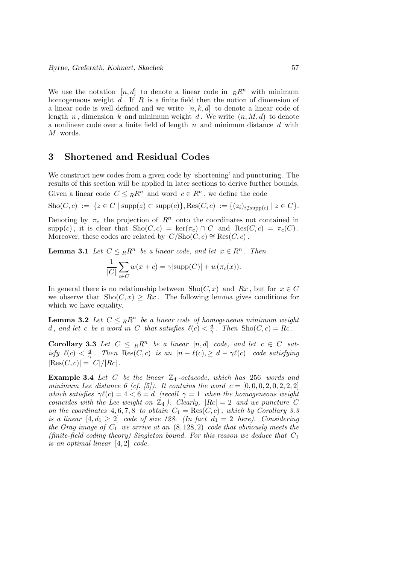We use the notation [n, d] to denote a linear code in  $_R\mathbb{R}^n$  with minimum homogeneous weight  $d$ . If  $R$  is a finite field then the notion of dimension of a linear code is well defined and we write  $[n, k, d]$  to denote a linear code of length n, dimension k and minimum weight d. We write  $(n, M, d)$  to denote a nonlinear code over a finite field of length  $n$  and minimum distance  $d$  with M words.

### 3 Shortened and Residual Codes

We construct new codes from a given code by 'shortening' and puncturing. The results of this section will be applied in later sections to derive further bounds.

Given a linear code  $C \leq_R R^n$  and word  $c \in R^n$ , we define the code

 $\text{Sho}(C, c) := \{ z \in C \mid \text{supp}(z) \subset \text{supp}(c) \}, \text{Res}(C, c) := \{ (z_i)_{i \notin \text{supp}(c)} \mid z \in C \}.$ 

Denoting by  $\pi_c$  the projection of  $R^n$  onto the coordinates not contained in  $\text{supp}(c)$ , it is clear that  $\text{Sho}(C, c) = \text{ker}(\pi_c) \cap C$  and  $\text{Res}(C, c) = \pi_c(C)$ . Moreover, these codes are related by  $C/\text{Sho}(C, c) \cong \text{Res}(C, c)$ .

**Lemma 3.1** Let  $C \leq_R R^n$  be a linear code, and let  $x \in R^n$ . Then

$$
\frac{1}{|C|} \sum_{c \in C} w(x + c) = \gamma |\text{supp}(C)| + w(\pi_c(x)).
$$

In general there is no relationship between  $\text{Sho}(C, x)$  and  $Rx$ , but for  $x \in C$ we observe that  $\text{Sho}(C, x) \geq Rx$ . The following lemma gives conditions for which we have equality.

**Lemma 3.2** Let  $C \leq_R R^n$  be a linear code of homogeneous minimum weight d, and let c be a word in C that satisfies  $\ell(c) < \frac{d}{d}$  $\frac{d}{\gamma}$ . Then Sho $(C, c) = Rc$ .

**Corollary 3.3** Let  $C \leq_R R^n$  be a linear  $[n, d]$  code, and let  $c \in C$  satisfy  $\ell(c) < \frac{d}{\gamma}$  $\frac{d}{\gamma}$ . Then  $\text{Res}(C, c)$  is an  $[n - \ell(c), \geq d - \gamma \ell(c)]$  code satisfying  $|\text{Res}(C, c)| = |C|/|Rc|$ .

**Example 3.4** Let C be the linear  $\mathbb{Z}_4$ -octacode, which has 256 words and minimum Lee distance 6 (cf. [5]). It contains the word  $c = [0, 0, 0, 2, 0, 2, 2, 2]$ which satisfies  $\gamma \ell(c) = 4 < 6 = d$  (recall  $\gamma = 1$  when the homogeneous weight coincides with the Lee weight on  $\mathbb{Z}_4$ . Clearly,  $|Rc| = 2$  and we puncture C on the coordinates 4, 6, 7, 8 to obtain  $C_1 = \text{Res}(C, c)$ , which by Corollary 3.3 is a linear  $[4, d_1 \geq 2]$  code of size 128. (In fact  $d_1 = 2$  here). Considering the Gray image of  $C_1$  we arrive at an  $(8, 128, 2)$  code that obviously meets the (finite-field coding theory) Singleton bound. For this reason we deduce that  $C_1$ is an optimal linear [4, 2] code.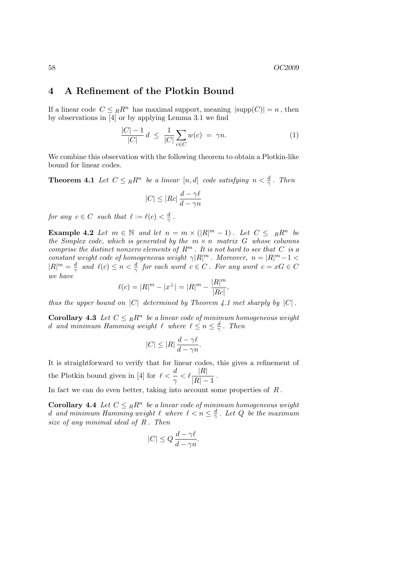## 4 A Refinement of the Plotkin Bound

If a linear code  $C \leq_R R^n$  has maximal support, meaning  $|\text{supp}(C)| = n$ , then by observations in [4] or by applying Lemma 3.1 we find

$$
\frac{|C| - 1}{|C|} d \le \frac{1}{|C|} \sum_{c \in C} w(c) = \gamma n. \tag{1}
$$

We combine this observation with the following theorem to obtain a Plotkin-like bound for linear codes.

**Theorem 4.1** Let  $C \leq_R R^n$  be a linear  $[n, d]$  code satisfying  $n < \frac{d}{\gamma}$ . Then

$$
|C| \le |Rc| \frac{d - \gamma \ell}{d - \gamma n}
$$

for any  $c \in C$  such that  $\ell := \ell(c) < \frac{d}{\alpha}$  $\frac{d}{\gamma}$  .

**Example 4.2** Let  $m \in \mathbb{N}$  and let  $n = m \times (|R|^m - 1)$ . Let  $C \leq R^m$  be the Simplex code, which is generated by the  $m \times n$  matrix G whose columns comprise the distinct nonzero elements of  $R^m$ . It is not hard to see that C is a constant weight code of homogeneous weight  $\gamma |R|^m$ . Moreover,  $n = |R|^m - 1$  $|R|^m = \frac{d}{\gamma}$  $\frac{d}{\gamma}$  and  $\ell(c) \leq n < \frac{d}{\gamma}$  for each word  $c \in C$ . For any word  $c = xG \in C$ we have

$$
\ell(c) = |R|^m - |x^{\perp}| = |R|^m - \frac{|R|^m}{|Rc|},
$$

thus the upper bound on  $|C|$  determined by Theorem 4.1 met sharply by  $|C|$ .

**Corollary 4.3** Let  $C \leq_R R^n$  be a linear code of minimum homogeneous weight d and minimum Hamming weight  $\ell$  where  $\ell \leq n \leq \frac{d}{\alpha}$  $\frac{d}{\gamma}$ . Then

$$
|C|\leq |R|\,\frac{d-\gamma\ell}{d-\gamma n}.
$$

It is straightforward to verify that for linear codes, this gives a refinement of the Plotkin bound given in [4] for  $\ell < \frac{d}{\gamma} < \ell \frac{|R|}{|R|-1}$ .

In fact we can do even better, taking into account some properties of  $R$ .

**Corollary 4.4** Let  $C \leq_R R^n$  be a linear code of minimum homogeneous weight d and minimum Hamming weight  $\ell$  where  $\ell < n \leq \frac{d}{\gamma}$  $\frac{a}{\gamma}$  . Let  $Q$  be the maximum size of any minimal ideal of  $R$ . Then

$$
|C| \le Q \frac{d - \gamma \ell}{d - \gamma n}.
$$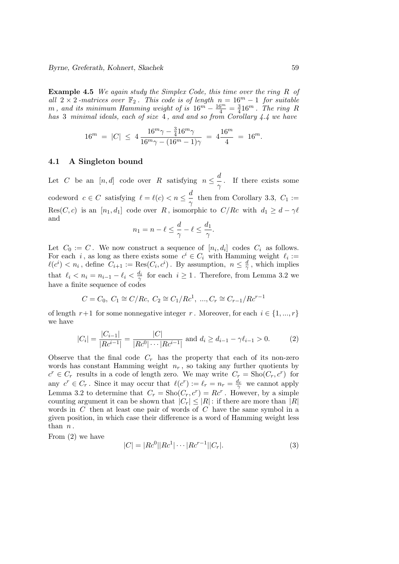Example 4.5 We again study the Simplex Code, this time over the ring R of all  $2 \times 2$ -matrices over  $\mathbb{F}_2$ . This code is of length  $n = 16^m - 1$  for suitable m, and its minimum Hamming weight of is  $16^m - \frac{16^m}{4} = \frac{3}{4}$  $rac{3}{4}16^m$ . The ring R has 3 minimal ideals, each of size 4, and and so from Corollary 4.4 we have

$$
16^m = |C| \le 4 \frac{16^m \gamma - \frac{3}{4} 16^m \gamma}{16^m \gamma - (16^m - 1)\gamma} = 4 \frac{16^m}{4} = 16^m.
$$

#### 4.1 A Singleton bound

Let C be an  $[n, d]$  code over R satisfying  $n \leq \frac{d}{d}$  $\frac{\alpha}{\gamma}$ . If there exists some codeword  $c \in C$  satisfying  $\ell = \ell(c) < n \leq \frac{d}{d}$  $\frac{\infty}{\gamma}$  then from Corollary 3.3,  $C_1 :=$ Res $(C, c)$  is an  $[n_1, d_1]$  code over R, isomorphic to  $C/Re$  with  $d_1 \geq d - \gamma \ell$ and

$$
n_1 = n - \ell \le \frac{d}{\gamma} - \ell \le \frac{d_1}{\gamma}.
$$

Let  $C_0 := C$ . We now construct a sequence of  $[n_i, d_i]$  codes  $C_i$  as follows. For each i, as long as there exists some  $c^i \in C_i$  with Hamming weight  $\ell_i :=$  $\ell(c^i) < n_i$ , define  $C_{i+1} := \text{Res}(C_i, c^i)$ . By assumption,  $n \leq \frac{d}{\gamma}$  $\frac{a}{\gamma}$ , which implies that  $\ell_i < n_i = n_{i-1} - \ell_i < \frac{d_i}{\gamma}$  for each  $i \geq 1$ . Therefore, from Lemma 3.2 we have a finite sequence of codes

$$
C=C_0, \ C_1 \cong C/ R c, \ C_2 \cong C_1/R c^1, \ ... , C_r \cong C_{r-1}/ R c^{r-1}
$$

of length  $r+1$  for some nonnegative integer r. Moreover, for each  $i \in \{1, ..., r\}$ we have

$$
|C_i| = \frac{|C_{i-1}|}{|Rc^{i-1}|} = \frac{|C|}{|Rc^0| \cdots |Rc^{i-1}|} \text{ and } d_i \ge d_{i-1} - \gamma \ell_{i-1} > 0. \tag{2}
$$

Observe that the final code  $C_r$  has the property that each of its non-zero words has constant Hamming weight  $n_r$ , so taking any further quotients by  $c^r \in C_r$  results in a code of length zero. We may write  $C_r = \text{Sho}(C_r, c^r)$  for any  $c^r \in C_r$ . Since it may occur that  $\ell(c^r) := \ell_r = n_r = \frac{d_r}{\gamma}$  we cannot apply Lemma 3.2 to determine that  $C_r = \text{Sho}(C_r, c^r) = Rc^r$ . However, by a simple counting argument it can be shown that  $|C_r| \leq |R|$ : if there are more than  $|R|$ words in  $C$  then at least one pair of words of  $C$  have the same symbol in a given position, in which case their difference is a word of Hamming weight less than  $n$ .

From (2) we have

$$
|C| = |Rc0||Rc1| \cdots |Rcr-1||Cr|.
$$
 (3)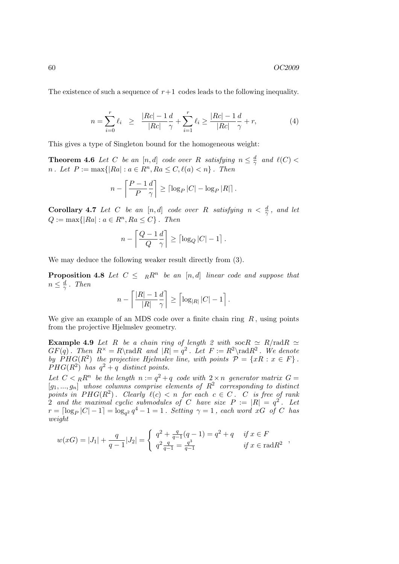The existence of such a sequence of  $r+1$  codes leads to the following inequality.

$$
n = \sum_{i=0}^{r} \ell_i \ge \frac{|Rc| - 1}{|Rc|} \frac{d}{\gamma} + \sum_{i=1}^{r} \ell_i \ge \frac{|Rc| - 1}{|Rc|} \frac{d}{\gamma} + r,\tag{4}
$$

This gives a type of Singleton bound for the homogeneous weight:

**Theorem 4.6** Let C be an [n, d] code over R satisfying  $n \leq \frac{d}{2}$  $\frac{d}{\gamma}$  and  $\ell(C)$  < *n*. Let  $P := \max\{|Ra| : a \in R^n, Ra \leq C, \ell(a) < n\}$ . Then

$$
n - \left\lceil \frac{P - 1}{P} \frac{d}{\gamma} \right\rceil \ge \lceil \log_P |C| - \log_P |R| \rceil.
$$

**Corollary 4.7** Let C be an [n, d] code over R satisfying  $n < \frac{d}{\gamma}$ , and let  $Q := \max\{|Ra| : a \in R^n, Ra \leq C\}$ . Then

$$
n - \left\lceil \frac{Q - 1}{Q} \frac{d}{\gamma} \right\rceil \ge \left\lceil \log_Q |C| - 1 \right\rceil.
$$

We may deduce the following weaker result directly from (3).

**Proposition 4.8** Let  $C \leq R^n$  be an [n,d] linear code and suppose that  $n \leq \frac{d}{\gamma}$  $\frac{d}{\gamma}$ . Then

$$
n - \left\lceil \frac{|R| - 1}{|R|} \frac{d}{\gamma} \right\rceil \ge \left\lceil \log_{|R|} |C| - 1 \right\rceil.
$$

We give an example of an MDS code over a finite chain ring  $R$ , using points from the projective Hjelmslev geometry.

**Example 4.9** Let R be a chain ring of length 2 with  $\operatorname{soc} R \simeq R/\operatorname{rad} R \simeq$  $GF(q)$ . Then  $R^{\times} = R \rad R$  and  $|R| = q^2$ . Let  $F := R^2 \rad R^2$ . We denote by  $PHG(R^2)$  the projective Hjelmslev line, with points  $\mathcal{P} = \{xR : x \in F\}$ .  $PHG(R^2)$  has  $q^2 + q$  distinct points.

Let  $C < {}_{R}R^{n}$  be the length  $n := q^{2} + q$  code with  $2 \times n$  generator matrix  $G =$  $[g_1, ..., g_n]$  whose columns comprise elements of  $R^2$  corresponding to distinct points in  $PHG(R^2)$ . Clearly  $\ell(c) < n$  for each  $c \in C$ . C is free of rank 2 and the maximal cyclic submodules of C have size  $P := |R| = q^2$ . Let  $r = \lceil \log_P |C| - 1 \rceil = \log_{q^2} q^4 - 1 = 1$ . Setting  $\gamma = 1$ , each word xG of C has weight

$$
w(xG) = |J_1| + \frac{q}{q-1}|J_2| = \begin{cases} q^2 + \frac{q}{q-1}(q-1) = q^2 + q & \text{if } x \in F \\ q^2 \frac{q}{q-1} = \frac{q^3}{q-1} & \text{if } x \in \text{rad} R^2 \end{cases}
$$